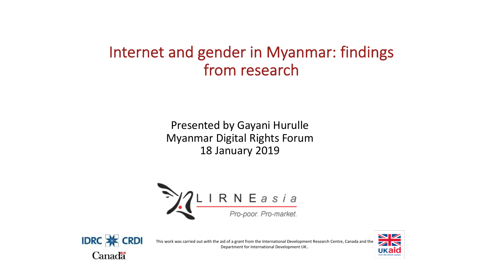# Internet and gender in Myanmar: findings from research

Presented by Gayani Hurulle Myanmar Digital Rights Forum 18 January 2019





This work was carried out with the aid of a grant from the International Development Research Centre, Canada and the Department for International Development UK..

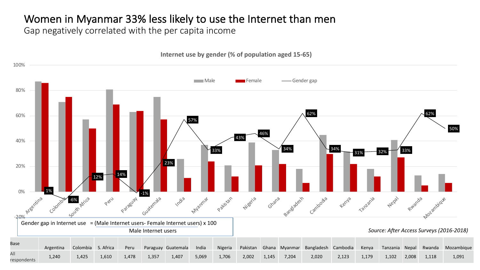## Women in Myanmar 33% less likely to use the Internet than men

Gap negatively correlated with the per capita income

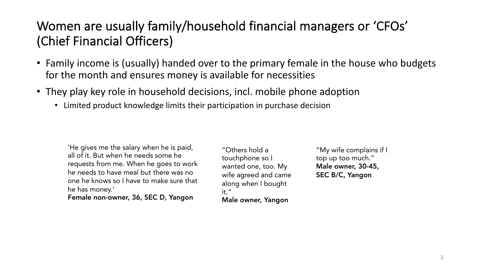# Women are usually family/household financial managers or 'CFOs' (Chief Financial Officers)

- Family income is (usually) handed over to the primary female in the house who budgets for the month and ensures money is available for necessities
- They play key role in household decisions, incl. mobile phone adoption
	- Limited product knowledge limits their participation in purchase decision

'He gives me the salary when he is paid, all of it. But when he needs some he requests from me. When he goes to work he needs to have meal but there was no one he knows so I have to make sure that he has money.'

Female non-owner, 36, SEC D, Yangon

"Others hold a touchphone so I wanted one, too. My wife agreed and came along when I bought it." Male owner, Yangon

"My wife complains if I top up too much." Male owner, 30-45, SEC B/C, Yangon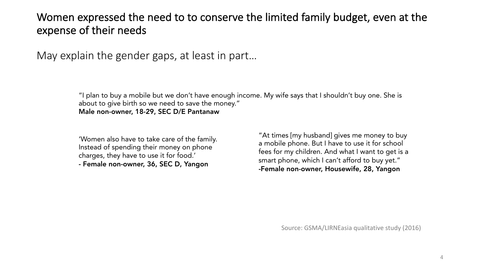#### Women expressed the need to to conserve the limited family budget, even at the expense of their needs

May explain the gender gaps, at least in part…

"I plan to buy a mobile but we don't have enough income. My wife says that I shouldn't buy one. She is about to give birth so we need to save the money." Male non-owner, 18-29, SEC D/E Pantanaw

'Women also have to take care of the family. Instead of spending their money on phone charges, they have to use it for food.' - Female non-owner, 36, SEC D, Yangon

"At times [my husband] gives me money to buy a mobile phone. But I have to use it for school fees for my children. And what I want to get is a smart phone, which I can't afford to buy yet." -Female non-owner, Housewife, 28, Yangon

Source: GSMA/LIRNEasia qualitative study (2016)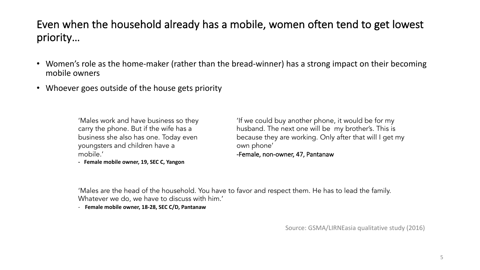### Even when the household already has a mobile, women often tend to get lowest priority…

- Women's role as the home-maker (rather than the bread-winner) has a strong impact on their becoming mobile owners
- Whoever goes outside of the house gets priority

'Males work and have business so they carry the phone. But if the wife has a business she also has one. Today even youngsters and children have a mobile.'

**- Female mobile owner, 19, SEC C, Yangon**

'If we could buy another phone, it would be for my husband. The next one will be my brother's. This is because they are working. Only after that will I get my own phone' -Female, non-owner, 47, Pantanaw

'Males are the head of the household. You have to favor and respect them. He has to lead the family. Whatever we do, we have to discuss with him.'

- **Female mobile owner, 18-28, SEC C/D, Pantanaw**

Source: GSMA/LIRNEasia qualitative study (2016)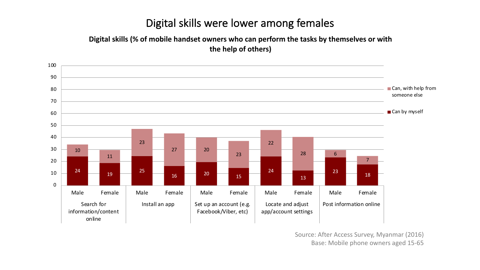#### Digital skills were lower among females

#### **Digital skills (% of mobile handset owners who can perform the tasks by themselves or with the help of others)**



Source: After Access Survey, Myanmar (2016) Base: Mobile phone owners aged 15-65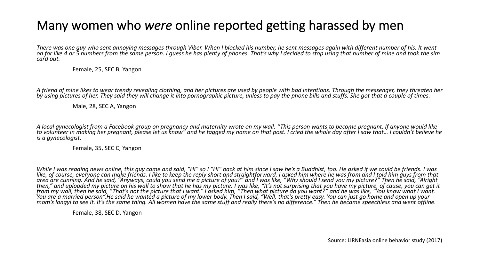# Many women who *were* online reported getting harassed by men

There was one guy who sent annoying messages through Viber. When I blocked his number, he sent messages again with different number of his. It went<br>on for like 4 or 5 numbers from the same person. I guess he has plenty of

Female, 25, SEC B, Yangon

A friend of mine likes to wear trendy revealing clothing, and her pictures are used by people with bad intentions. Through the messenger, they threaten her<br>by using pictures of her. They said they will change it into porno

Male, 28, SEC A, Yangon

A local gynecologist from a Facebook group on pregnancy and maternity wrote on my wall: "This person wants to become pregnant. If anyone would like<br>to volunteer in making her pregnant, please let us know" and he tagged my *is a gynecologist.*

Female, 35, SEC C, Yangon

While I was reading news online, this guy came and said, "Hi" so I "Hi" back at him since I saw he's a Buddhist, too. He asked if we could be friends. I was<br>like, of course, everyone can make friends. I like to keep the re 'You are´ a ma´rried person".He said he wanted a picture of my lower body. Then I said, "Well, that's p´retty easy. You can just go h´ome and open up your<br>mom's longyi to see it. It's the same thing. All women have the sam

Female, 38, SEC D, Yangon

Source: LIRNEasia online behavior study (2017)